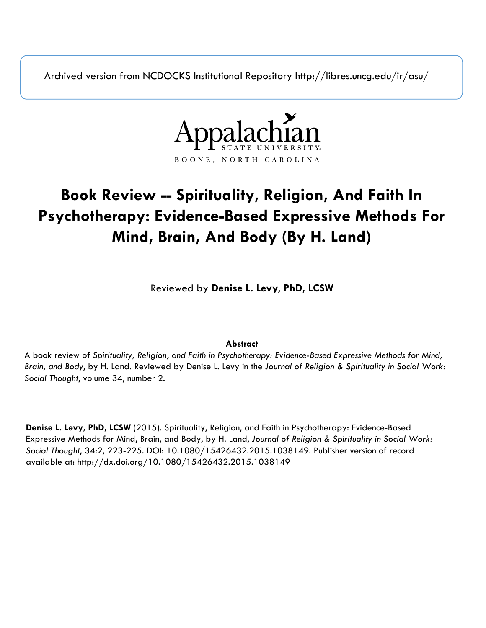Archived version from NCDOCKS Institutional Repository http://libres.uncg.edu/ir/asu/



# **Book Review -- Spirituality, Religion, And Faith In Psychotherapy: Evidence-Based Expressive Methods For Mind, Brain, And Body (By H. Land)**

Reviewed by **Denise L. Levy**, **PhD, LCSW**

#### **Abstract**

A book review of *Spirituality, Religion, and Faith in Psychotherapy: Evidence-Based Expressive Methods for Mind, Brain, and Body*, by H. Land. Reviewed by Denise L. Levy in the *Journal of Religion & Spirituality in Social Work: Social Thought*, volume 34, number 2.

**Denise L. Levy, PhD, LCSW** (2015). Spirituality, Religion, and Faith in Psychotherapy: Evidence-Based Expressive Methods for Mind, Brain, and Body, by H. Land, *Journal of Religion & Spirituality in Social Work: Social Thought*, 34:2, 223-225. DOI: 10.1080/15426432.2015.1038149. Publisher version of record available at: http://dx.doi.org/10.1080/15426432.2015.1038149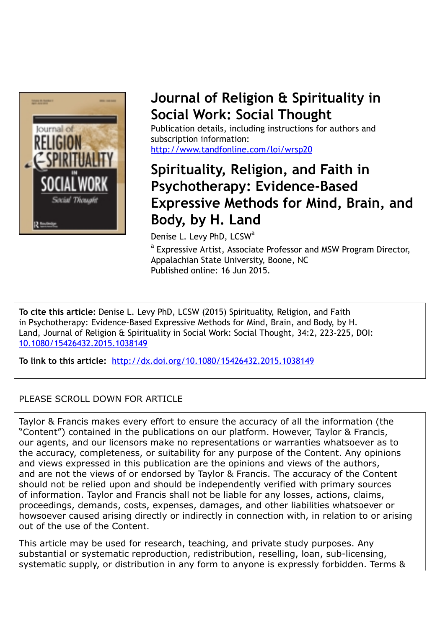

## **Journal of Religion & Spirituality in Social Work: Social Thought**

Publication details, including instructions for authors and subscription information: <http://www.tandfonline.com/loi/wrsp20>

## **Spirituality, Religion, and Faith in Psychotherapy: Evidence-Based Expressive Methods for Mind, Brain, and Body, by H. Land**

Denise L. Levy PhD, LCSW<sup>a</sup>

<sup>a</sup> Expressive Artist, Associate Professor and MSW Program Director, Appalachian State University, Boone, NC Published online: 16 Jun 2015.

**To cite this article:** Denise L. Levy PhD, LCSW (2015) Spirituality, Religion, and Faith in Psychotherapy: Evidence-Based Expressive Methods for Mind, Brain, and Body, by H. Land, Journal of Religion & Spirituality in Social Work: Social Thought, 34:2, 223-225, DOI: [10.1080/15426432.2015.1038149](http://www.tandfonline.com/action/showCitFormats?doi=10.1080/15426432.2015.1038149)

**To link to this article:** <http://dx.doi.org/10.1080/15426432.2015.1038149>

### PLEASE SCROLL DOWN FOR ARTICLE

Taylor & Francis makes every effort to ensure the accuracy of all the information (the "Content") contained in the publications on our platform. However, Taylor & Francis, our agents, and our licensors make no representations or warranties whatsoever as to the accuracy, completeness, or suitability for any purpose of the Content. Any opinions and views expressed in this publication are the opinions and views of the authors, and are not the views of or endorsed by Taylor & Francis. The accuracy of the Content should not be relied upon and should be independently verified with primary sources of information. Taylor and Francis shall not be liable for any losses, actions, claims, proceedings, demands, costs, expenses, damages, and other liabilities whatsoever or howsoever caused arising directly or indirectly in connection with, in relation to or arising out of the use of the Content.

This article may be used for research, teaching, and private study purposes. Any substantial or systematic reproduction, redistribution, reselling, loan, sub-licensing, systematic supply, or distribution in any form to anyone is expressly forbidden. Terms &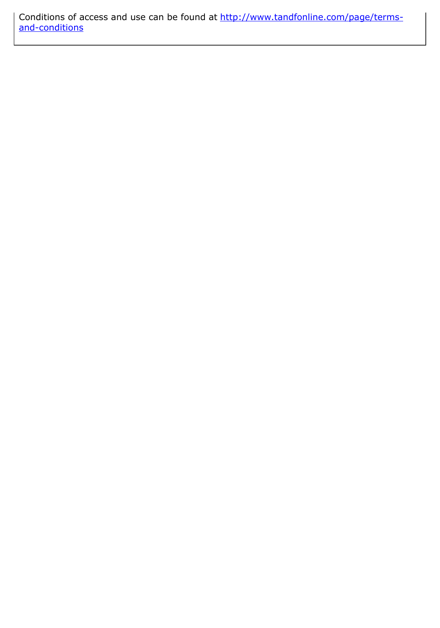Conditions of access and use can be found at [http://www.tandfonline.com/page/terms](http://www.tandfonline.com/page/terms-and-conditions)[and-conditions](http://www.tandfonline.com/page/terms-and-conditions)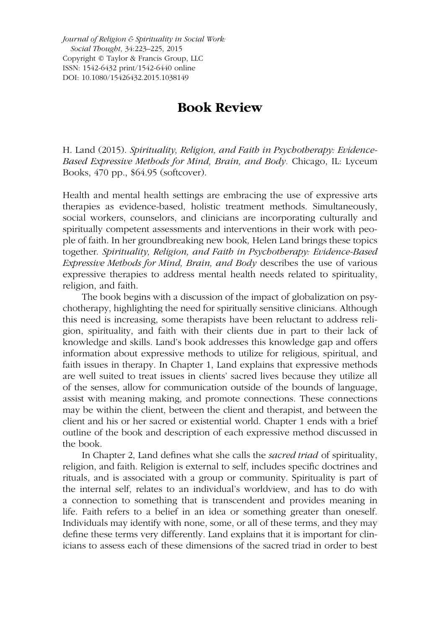*Journal of Religion & Spirituality in Social Work: Social Thought*, 34:223–225, 2015 Copyright © Taylor & Francis Group, LLC ISSN: 1542-6432 print/1542-6440 online DOI: 10.1080/15426432.2015.1038149

## **Book Review**

H. Land (2015). *Spirituality, Religion, and Faith in Psychotherapy: Evidence-Based Expressive Methods for Mind, Brain, and Body.* Chicago, IL: Lyceum Books, 470 pp., \$64.95 (softcover).

Health and mental health settings are embracing the use of expressive arts therapies as evidence-based, holistic treatment methods. Simultaneously, social workers, counselors, and clinicians are incorporating culturally and spiritually competent assessments and interventions in their work with people of faith. In her groundbreaking new book*,* Helen Land brings these topics together. *Spirituality, Religion, and Faith in Psychotherapy: Evidence-Based Expressive Methods for Mind, Brain, and Body* describes the use of various expressive therapies to address mental health needs related to spirituality, religion, and faith.

The book begins with a discussion of the impact of globalization on psychotherapy, highlighting the need for spiritually sensitive clinicians. Although this need is increasing, some therapists have been reluctant to address religion, spirituality, and faith with their clients due in part to their lack of knowledge and skills. Land's book addresses this knowledge gap and offers information about expressive methods to utilize for religious, spiritual, and faith issues in therapy. In Chapter 1, Land explains that expressive methods are well suited to treat issues in clients' sacred lives because they utilize all of the senses, allow for communication outside of the bounds of language, assist with meaning making, and promote connections. These connections may be within the client, between the client and therapist, and between the client and his or her sacred or existential world. Chapter 1 ends with a brief outline of the book and description of each expressive method discussed in the book.

In Chapter 2, Land defines what she calls the *sacred triad* of spirituality, religion, and faith. Religion is external to self, includes specific doctrines and rituals, and is associated with a group or community. Spirituality is part of the internal self, relates to an individual's worldview, and has to do with a connection to something that is transcendent and provides meaning in life. Faith refers to a belief in an idea or something greater than oneself. Individuals may identify with none, some, or all of these terms, and they may define these terms very differently. Land explains that it is important for clinicians to assess each of these dimensions of the sacred triad in order to best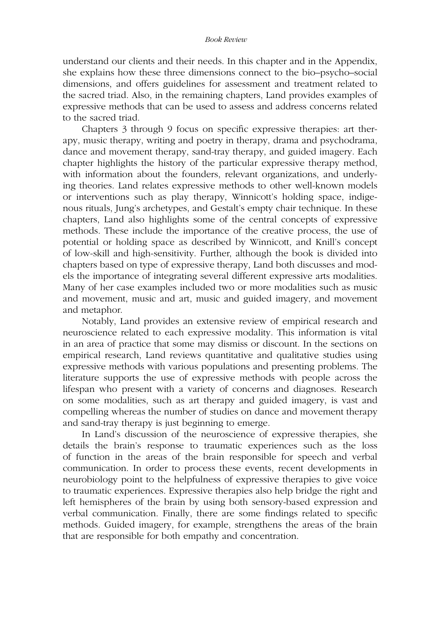#### *Book Review*

understand our clients and their needs. In this chapter and in the Appendix, she explains how these three dimensions connect to the bio–psycho–social dimensions, and offers guidelines for assessment and treatment related to the sacred triad. Also, in the remaining chapters, Land provides examples of expressive methods that can be used to assess and address concerns related to the sacred triad.

Chapters 3 through 9 focus on specific expressive therapies: art therapy, music therapy, writing and poetry in therapy, drama and psychodrama, dance and movement therapy, sand-tray therapy, and guided imagery. Each chapter highlights the history of the particular expressive therapy method, with information about the founders, relevant organizations, and underlying theories. Land relates expressive methods to other well-known models or interventions such as play therapy, Winnicott's holding space, indigenous rituals, Jung's archetypes, and Gestalt's empty chair technique. In these chapters, Land also highlights some of the central concepts of expressive methods. These include the importance of the creative process, the use of potential or holding space as described by Winnicott, and Knill's concept of low-skill and high-sensitivity. Further, although the book is divided into chapters based on type of expressive therapy, Land both discusses and models the importance of integrating several different expressive arts modalities. Many of her case examples included two or more modalities such as music and movement, music and art, music and guided imagery, and movement and metaphor.

Notably, Land provides an extensive review of empirical research and neuroscience related to each expressive modality. This information is vital in an area of practice that some may dismiss or discount. In the sections on empirical research, Land reviews quantitative and qualitative studies using expressive methods with various populations and presenting problems. The literature supports the use of expressive methods with people across the lifespan who present with a variety of concerns and diagnoses. Research on some modalities, such as art therapy and guided imagery, is vast and compelling whereas the number of studies on dance and movement therapy and sand-tray therapy is just beginning to emerge.

In Land's discussion of the neuroscience of expressive therapies, she details the brain's response to traumatic experiences such as the loss of function in the areas of the brain responsible for speech and verbal communication. In order to process these events, recent developments in neurobiology point to the helpfulness of expressive therapies to give voice to traumatic experiences. Expressive therapies also help bridge the right and left hemispheres of the brain by using both sensory-based expression and verbal communication. Finally, there are some findings related to specific methods. Guided imagery, for example, strengthens the areas of the brain that are responsible for both empathy and concentration.